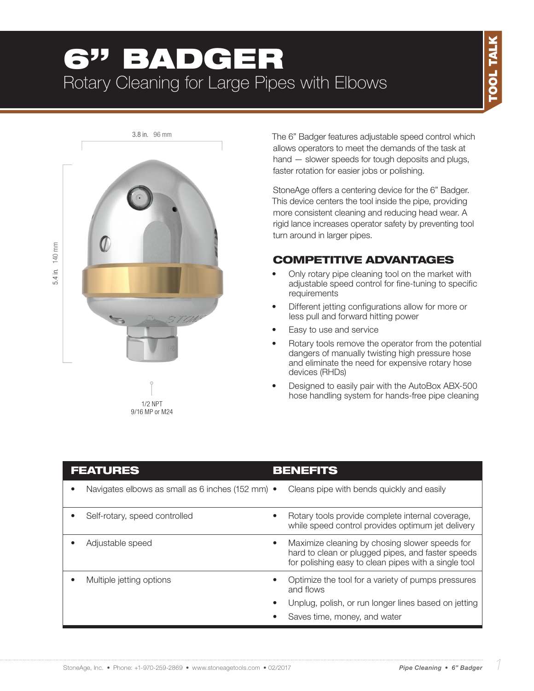# 6" BADGER Rotary Cleaning for Large Pipes with Elbows



The 6" Badger features adjustable speed control which allows operators to meet the demands of the task at hand — slower speeds for tough deposits and plugs, faster rotation for easier jobs or polishing.

StoneAge offers a centering device for the 6" Badger. This device centers the tool inside the pipe, providing more consistent cleaning and reducing head wear. A rigid lance increases operator safety by preventing tool turn around in larger pipes.

# COMPETITIVE ADVANTAGES

- Only rotary pipe cleaning tool on the market with adjustable speed control for fine-tuning to specific requirements
- Different jetting configurations allow for more or less pull and forward hitting power
- Easy to use and service
- Rotary tools remove the operator from the potential dangers of manually twisting high pressure hose and eliminate the need for expensive rotary hose devices (RHDs)
- Designed to easily pair with the AutoBox ABX-500 hose handling system for hands-free pipe cleaning

| <b>FEATURES</b> |                                                  |           | <b>BENEFITS</b>                                                                                                                                             |  |  |
|-----------------|--------------------------------------------------|-----------|-------------------------------------------------------------------------------------------------------------------------------------------------------------|--|--|
|                 | Navigates elbows as small as 6 inches (152 mm) • |           | Cleans pipe with bends quickly and easily                                                                                                                   |  |  |
|                 | Self-rotary, speed controlled                    | $\bullet$ | Rotary tools provide complete internal coverage,<br>while speed control provides optimum jet delivery                                                       |  |  |
|                 | Adjustable speed                                 | $\bullet$ | Maximize cleaning by chosing slower speeds for<br>hard to clean or plugged pipes, and faster speeds<br>for polishing easy to clean pipes with a single tool |  |  |
|                 | Multiple jetting options                         |           | Optimize the tool for a variety of pumps pressures<br>and flows                                                                                             |  |  |
|                 |                                                  |           | Unplug, polish, or run longer lines based on jetting                                                                                                        |  |  |
|                 |                                                  |           | Saves time, money, and water                                                                                                                                |  |  |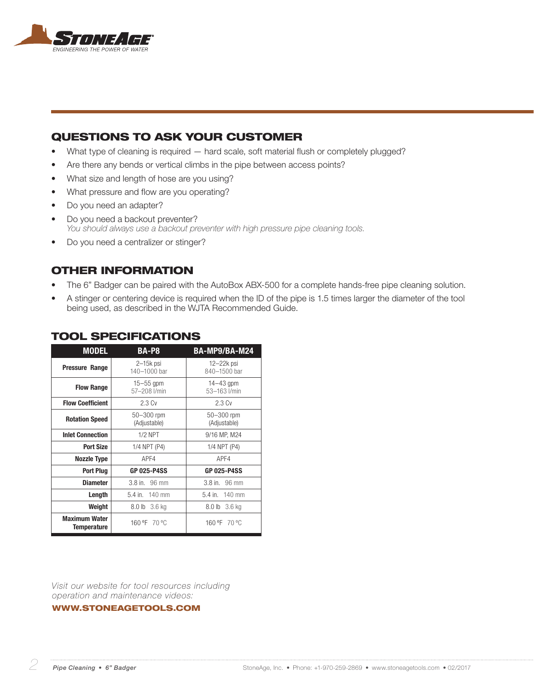

## QUESTIONS TO ASK YOUR CUSTOMER

- What type of cleaning is required hard scale, soft material flush or completely plugged?
- Are there any bends or vertical climbs in the pipe between access points?
- What size and length of hose are you using?
- What pressure and flow are you operating?
- Do you need an adapter?
- Do you need a backout preventer? *You should always use a backout preventer with high pressure pipe cleaning tools.*
- Do you need a centralizer or stinger?

### OTHER INFORMATION

- The 6" Badger can be paired with the AutoBox ABX-500 for a complete hands-free pipe cleaning solution.
- A stinger or centering device is required when the ID of the pipe is 1.5 times larger the diameter of the tool being used, as described in the WJTA Recommended Guide.

| <b>MODEL</b>                               | <b>BA-P8</b>                   |                                |  |
|--------------------------------------------|--------------------------------|--------------------------------|--|
| <b>Pressure Range</b>                      | $2-15k$ psi<br>140-1000 bar    | $12 - 22k$ psi<br>840-1500 bar |  |
| <b>Flow Range</b>                          | $15 - 55$ gpm<br>57-208 l/min  | $14 - 43$ gpm<br>53-163 l/min  |  |
| <b>Flow Coefficient</b>                    | 2.3 <sub>Cv</sub>              | 2.3 <sub>Cv</sub>              |  |
| <b>Rotation Speed</b>                      | $50 - 300$ rpm<br>(Adjustable) | 50-300 rpm<br>(Adjustable)     |  |
| <b>Inlet Connection</b>                    | $1/2$ NPT                      | 9/16 MP, M24                   |  |
| <b>Port Size</b>                           | 1/4 NPT (P4)                   | 1/4 NPT (P4)                   |  |
| <b>Nozzle Type</b>                         | APF4                           | APF4                           |  |
| <b>Port Plug</b>                           | <b>GP 025-P4SS</b>             | <b>GP 025-P4SS</b>             |  |
| <b>Diameter</b>                            | $3.8$ in. $96$ mm              | 3.8 in. 96 mm                  |  |
| Length                                     | 5.4 in. 140 mm                 | 5.4 in. 140 mm                 |  |
| Weight                                     | 8.0 lb 3.6 kg                  | 8.0 lb 3.6 kg                  |  |
| <b>Maximum Water</b><br><b>Temperature</b> | 160 °F<br>70 °C                | 160 °F 70 °C                   |  |

## TOOL SPECIFICATIONS

*Visit our website for tool resources including operation and maintenance videos:* 

#### WWW.STONEAGETOOLS.COM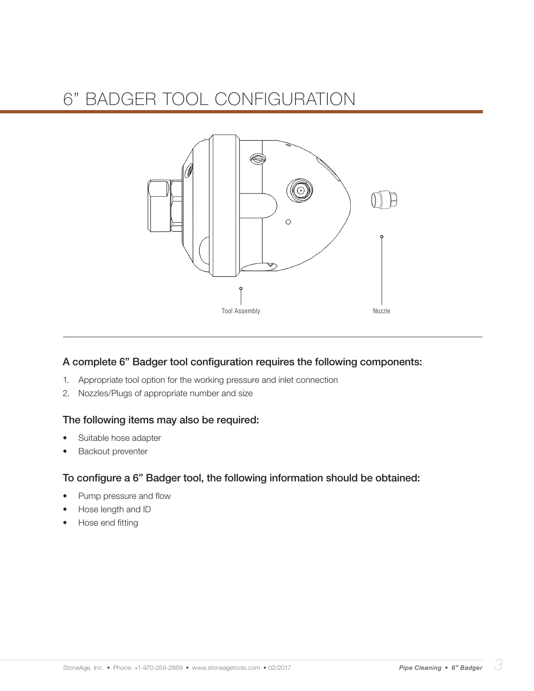

### A complete 6" Badger tool configuration requires the following components:

- 1. Appropriate tool option for the working pressure and inlet connection
- 2. Nozzles/Plugs of appropriate number and size

### The following items may also be required:

- Suitable hose adapter
- **Backout preventer**

### To configure a 6" Badger tool, the following information should be obtained:

- Pump pressure and flow
- Hose length and ID
- Hose end fitting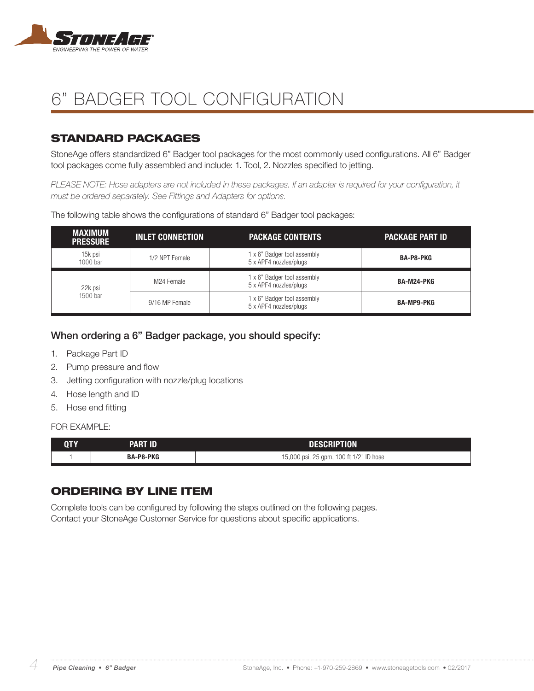

## STANDARD PACKAGES

StoneAge offers standardized 6" Badger tool packages for the most commonly used configurations. All 6" Badger tool packages come fully assembled and include: 1. Tool, 2. Nozzles specified to jetting.

*PLEASE NOTE: Hose adapters are not included in these packages. If an adapter is required for your configuration, it must be ordered separately. See Fittings and Adapters for options.*

| <b>MAXIMUM</b><br><b>PRESSURE</b> | <b>INLET CONNECTION</b> | <b>PACKAGE CONTENTS</b>                               | <b>PACKAGE PART ID</b> |
|-----------------------------------|-------------------------|-------------------------------------------------------|------------------------|
| 15k psi<br>$1000$ bar             | 1/2 NPT Female          | 1 x 6" Badger tool assembly<br>5 x APF4 nozzles/plugs | <b>BA-P8-PKG</b>       |
| 22k psi                           | M24 Female              | 1 x 6" Badger tool assembly<br>5 x APF4 nozzles/plugs | BA-M24-PKG             |
| 1500 bar                          | 9/16 MP Female          | 1 x 6" Badger tool assembly<br>5 x APF4 nozzles/plugs | <b>BA-MP9-PKG</b>      |

The following table shows the configurations of standard 6" Badger tool packages:

### When ordering a 6" Badger package, you should specify:

- 1. Package Part ID
- 2. Pump pressure and flow
- 3. Jetting configuration with nozzle/plug locations
- 4. Hose length and ID
- 5. Hose end fitting

#### FOR **FXAMPLE:**

| QTY | PART ID          | DESCRIPTION                             |  |
|-----|------------------|-----------------------------------------|--|
|     | <b>BA-P8-PKG</b> | 15,000 psi, 25 gpm, 100 ft 1/2" ID hose |  |

### ORDERING BY LINE ITEM

Complete tools can be configured by following the steps outlined on the following pages. Contact your StoneAge Customer Service for questions about specific applications.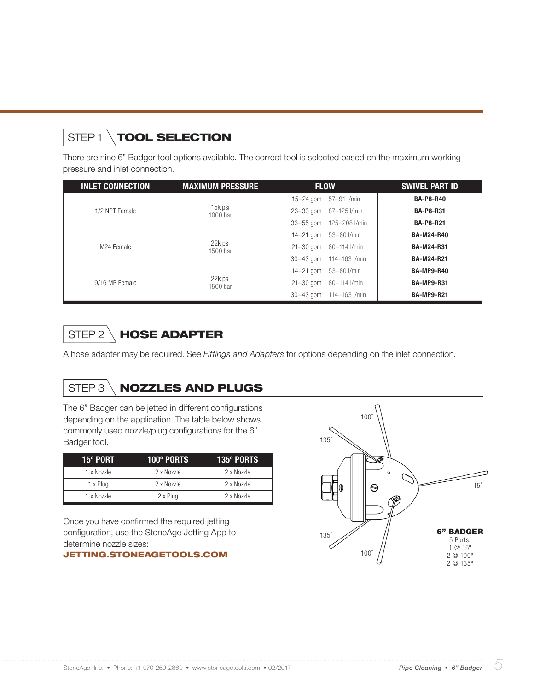# STEP1 \TOOL SELECTION

There are nine 6" Badger tool options available. The correct tool is selected based on the maximum working pressure and inlet connection.

| <b>INLET CONNECTION</b> | <b>MAXIMUM PRESSURE</b> | <b>FLOW</b>             | <b>SWIVEL PART ID</b> |
|-------------------------|-------------------------|-------------------------|-----------------------|
|                         |                         | 15-24 gpm 57-91 l/min   | <b>BA-P8-R40</b>      |
| 1/2 NPT Female          | 15k psi<br>$1000$ bar   | 23-33 gpm 87-125 l/min  | <b>BA-P8-R31</b>      |
|                         |                         | 33-55 gpm 125-208 l/min | <b>BA-P8-R21</b>      |
|                         |                         | 14-21 gpm $53-80$ l/min | <b>BA-M24-R40</b>     |
| M <sub>24</sub> Female  | 22k psi<br>1500 bar     | 21-30 gpm 80-114 l/min  | <b>BA-M24-R31</b>     |
|                         |                         | 30-43 qpm 114-163 l/min | <b>BA-M24-R21</b>     |
|                         |                         |                         | <b>BA-MP9-R40</b>     |
| 9/16 MP Female          | 22k psi<br>1500 bar     | 21-30 gpm 80-114 l/min  | <b>BA-MP9-R31</b>     |
|                         |                         | 30-43 gpm 114-163 l/min | <b>BA-MP9-R21</b>     |

# STEP 2 \**HOSE ADAPTER**

A hose adapter may be required. See *Fittings and Adapters* for options depending on the inlet connection.

# STEP 3 \ NOZZLES AND PLUGS

The 6" Badger can be jetted in different configurations depending on the application. The table below shows commonly used nozzle/plug configurations for the 6" Badger tool.

| <b>15º PORT</b><br>100° PORTS |            | <b>135º PORTS</b> |
|-------------------------------|------------|-------------------|
| 2 x Nozzle<br>1 x Nozzle      |            | 2 x Nozzle        |
| 1 x Plug                      | 2 x Nozzle | 2 x Nozzle        |
| 1 x Nozzle                    | 2 x Plug   | 2 x Nozzle        |

Once you have confirmed the required jetting configuration, use the StoneAge Jetting App to determine nozzle sizes:

#### JETTING.STONEAGETOOLS.COM

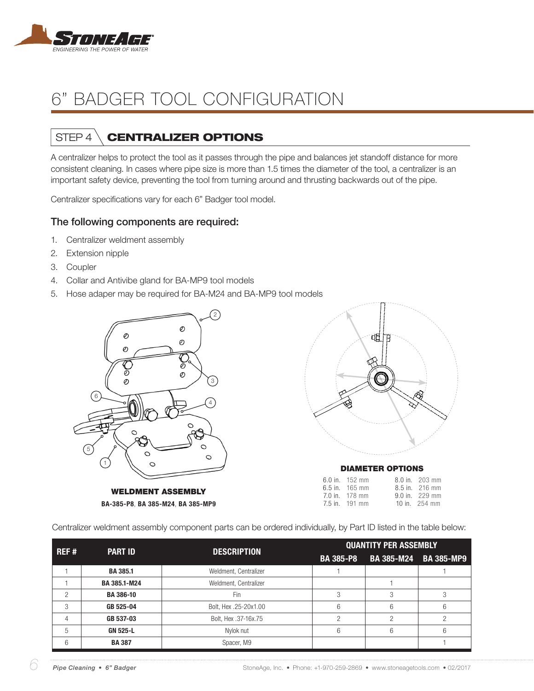

# STEP 4 \ **CENTRALIZER OPTIONS**

A centralizer helps to protect the tool as it passes through the pipe and balances jet standoff distance for more consistent cleaning. In cases where pipe size is more than 1.5 times the diameter of the tool, a centralizer is an important safety device, preventing the tool from turning around and thrusting backwards out of the pipe.

Centralizer specifications vary for each 6" Badger tool model.

### The following components are required:

- 1. Centralizer weldment assembly
- 2. Extension nipple
- 3. Coupler
- 4. Collar and Antivibe gland for BA-MP9 tool models
- 5. Hose adaper may be required for BA-M24 and BA-MP9 tool models



WELDMENT ASSEMBLY BA-385-P8, BA 385-M24, BA 385-MP9



9.0 in. 229 mm 10 in. 254 mm

Centralizer weldment assembly component parts can be ordered individually, by Part ID listed in the table below:

| REF# | <b>PART ID</b>   | <b>DESCRIPTION</b>    | <b>QUANTITY PER ASSEMBLY</b> |   |                       |
|------|------------------|-----------------------|------------------------------|---|-----------------------|
|      |                  |                       | <b>BA 385-P8</b>             |   | BA 385-M24 BA 385-MP9 |
|      | <b>BA 385.1</b>  | Weldment, Centralizer |                              |   |                       |
|      | BA 385.1-M24     | Weldment, Centralizer |                              |   |                       |
| っ    | <b>BA 386-10</b> | Fin                   | 3                            |   |                       |
| 3    | GB 525-04        | Bolt, Hex.25-20x1.00  | 6                            | 6 | 6                     |
| 4    | GB 537-03        | Bolt, Hex .37-16x.75  |                              |   |                       |
| 5    | <b>GN 525-L</b>  | Nylok nut             | 6                            | 6 | 6                     |
| 6    | <b>BA387</b>     | Spacer, M9            |                              |   |                       |

7.0 in. 178 mm 7.5 in. 191 mm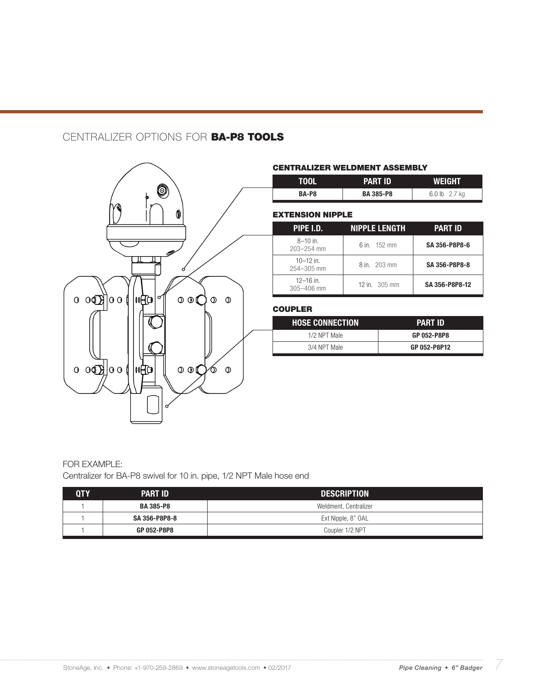## CENTRALIZER OPTIONS FOR BA-P8 TOOLS



#### CENTRALIZER WELDMENT ASSEMBLY

| <b>TOOL</b> | <b>PART ID</b>  | <b>WEIGHT</b> |  |
|-------------|-----------------|---------------|--|
| BA-P8       | <b>BA385-P8</b> | 6.0 lb 2.7 kg |  |

#### EXTENSION NIPPLE

| PIPE I.D.                       | <b>NIPPLE LENGTH</b>  | PART ID        |
|---------------------------------|-----------------------|----------------|
| $8 - 10$ in.<br>$203 - 254$ mm  | 6 in $152 \text{ mm}$ | SA 356-P8P8-6  |
| $10 - 12$ in.<br>254-305 mm     | 8 in. 203 mm          | SA 356-P8P8-8  |
| $12 - 16$ in.<br>$305 - 406$ mm | 12 in. 305 mm         | SA 356-P8P8-12 |

### **COUPLER**

| <b>HOSE CONNECTION</b> | <b>PART ID</b> |
|------------------------|----------------|
| 1/2 NPT Male           | GP 052-P8P8    |
| 3/4 NPT Male           | GP 052-P8P12   |

### FOR EXAMPLE: Centralizer for BA-P8 swivel for 10 in. pipe, 1/2 NPT Male hose end

| 0TY | <b>PART ID</b>                      | <b>DESCRIPTION</b>    |  |
|-----|-------------------------------------|-----------------------|--|
|     | <b>BA 385-P8</b>                    | Weldment, Centralizer |  |
|     | SA 356-P8P8-8<br>Ext Nipple, 8" OAL |                       |  |
|     | GP 052-P8P8                         | Coupler 1/2 NPT       |  |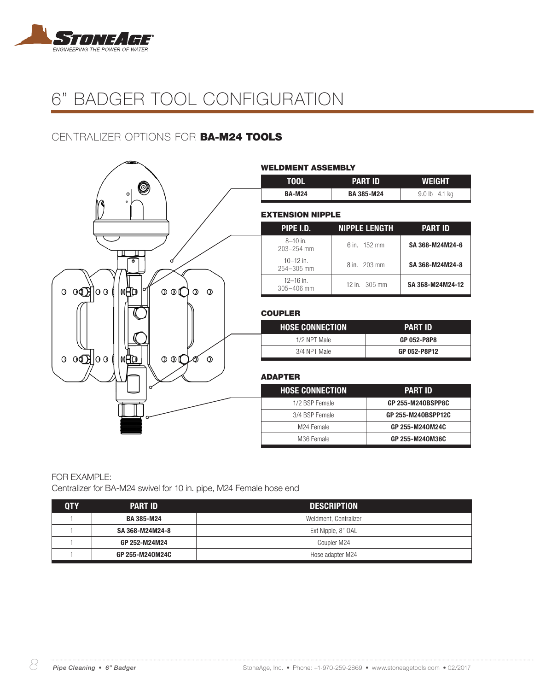

## CENTRALIZER OPTIONS FOR BA-M24 TOOLS

|                                                                                                 | <b>WELDMENT ASSEMBLY</b>    |                      |                    |
|-------------------------------------------------------------------------------------------------|-----------------------------|----------------------|--------------------|
|                                                                                                 | <b>TOOL</b>                 | <b>PART ID</b>       | <b>WEIGHT</b>      |
| Ø<br>$\mathbf{o}$                                                                               | <b>BA-M24</b>               | <b>BA 385-M24</b>    | 9.0 lb 4.1 kg      |
|                                                                                                 | <b>EXTENSION NIPPLE</b>     |                      |                    |
|                                                                                                 | <b>PIPE I.D.</b>            | <b>NIPPLE LENGTH</b> | <b>PART ID</b>     |
|                                                                                                 | $8 - 10$ in.<br>203-254 mm  | 6 in. 152 mm         | SA 368-M24M24-6    |
| ᢛ<br>ø                                                                                          | $10 - 12$ in.<br>254-305 mm | 8 in. 203 mm         | SA 368-M24M24-8    |
| $0 \mathbb{O}$ $ 00 $<br>l II⊡<br>$\circ \circ \mathbb{C}$<br>$\mathcal{O}$<br>$\mathbf 0$<br>0 | $12 - 16$ in.<br>305-406 mm | 12 in. 305 mm        | SA 368-M24M24-12   |
|                                                                                                 | <b>COUPLER</b>              |                      |                    |
|                                                                                                 | <b>HOSE CONNECTION</b>      |                      | <b>PART ID</b>     |
|                                                                                                 | 1/2 NPT Male                |                      | GP 052-P8P8        |
| $0 \oplus \mathbb{R}$<br>l∥Ap<br>$\circ$ of<br>$\mathcal{O}$<br>$\mathbf 0$                     | 3/4 NPT Male                |                      | GP 052-P8P12       |
|                                                                                                 |                             |                      |                    |
|                                                                                                 | <b>ADAPTER</b>              |                      |                    |
|                                                                                                 | <b>HOSE CONNECTION</b>      |                      | <b>PART ID</b>     |
|                                                                                                 | 1/2 BSP Female              |                      | GP 255-M240BSPP8C  |
|                                                                                                 | 3/4 BSP Female              |                      | GP 255-M240BSPP12C |
|                                                                                                 | M24 Female                  |                      | GP 255-M240M24C    |
|                                                                                                 | M36 Female                  |                      | GP 255-M240M36C    |

### FOR EXAMPLE:

Centralizer for BA-M24 swivel for 10 in. pipe, M24 Female hose end

| <b>PART ID</b>    | <b>DESCRIPTION</b>    |
|-------------------|-----------------------|
| <b>BA 385-M24</b> | Weldment, Centralizer |
| SA 368-M24M24-8   | Ext Nipple, 8" OAL    |
| GP 252-M24M24     | Coupler M24           |
| GP 255-M240M24C   | Hose adapter M24      |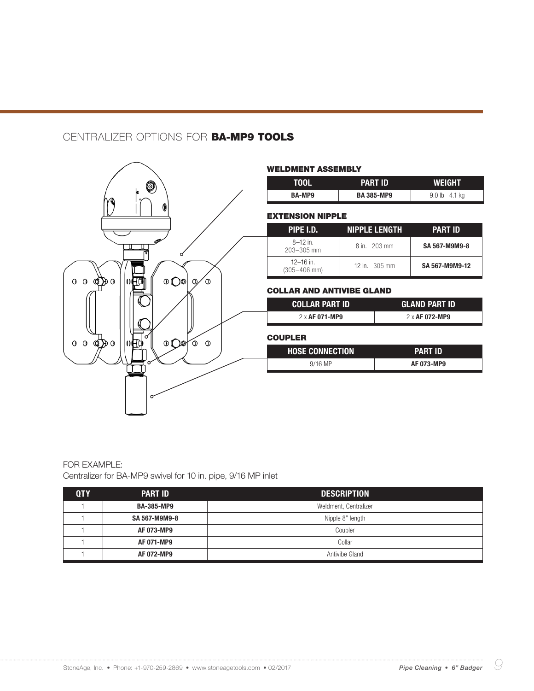## CENTRALIZER OPTIONS FOR BA-MP9 TOOLS



#### FOR EXAMPLE: Centralizer for BA-MP9 swivel for 10 in. pipe, 9/16 MP inlet

| <b>QTY</b> | <b>PART ID</b>    | <b>DESCRIPTION</b>    |
|------------|-------------------|-----------------------|
|            | <b>BA-385-MP9</b> | Weldment, Centralizer |
|            | SA 567-M9M9-8     | Nipple 8" length      |
|            | AF 073-MP9        | Coupler               |
|            | AF 071-MP9        | Collar                |
|            | AF 072-MP9        | Antivibe Gland        |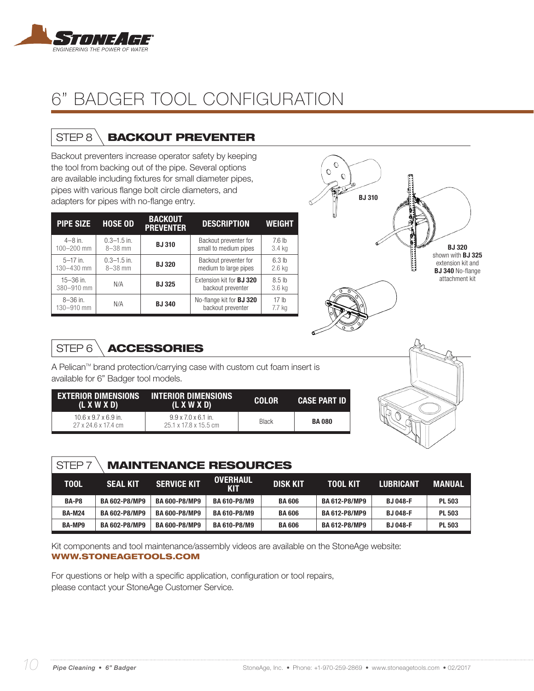

# STEP 8 \**BACKOUT PREVENTER**

Backout preventers increase operator safety by keeping the tool from backing out of the pipe. Several options are available including fixtures for small diameter pipes, pipes with various flange bolt circle diameters, and adapters for pipes with no-flange entry.

| <b>PIPE SIZE</b>            | <b>HOSE OD</b>               | <b>BACKOUT</b><br><b>PREVENTER</b> | <b>DESCRIPTION</b>                                   | <b>WEIGHT</b>                 |
|-----------------------------|------------------------------|------------------------------------|------------------------------------------------------|-------------------------------|
| $4 - 8$ in.<br>100-200 mm   | $0.3 - 1.5$ in.<br>$8-38$ mm | <b>BJ310</b>                       | Backout preventer for<br>small to medium pipes       | 7.6 <sub>h</sub><br>3.4 kg    |
| $5-17$ in.<br>130-430 mm    | $0.3 - 1.5$ in.<br>$8-38$ mm | <b>BJ320</b>                       | Backout preventer for<br>medium to large pipes       | 6.3 <sub>lb</sub><br>$2.6$ kg |
| $15 - 36$ in.<br>380-910 mm | N/A                          | <b>BJ325</b>                       | Extension kit for <b>BJ 320</b><br>backout preventer | 8.5 <sub>th</sub><br>3.6 kg   |
| $8 - 36$ in.<br>130-910 mm  | N/A                          | <b>BJ340</b>                       | No-flange kit for <b>BJ 320</b><br>backout preventer | 17 <sub>h</sub><br>7.7 ka     |



# STEP 6 \**ACCESSORIES**

A Pelican™ brand protection/carrying case with custom cut foam insert is available for 6" Badger tool models.

| (L X W X D)                                             | EXTERIOR DIMENSIONS INTERIOR DIMENSIONS<br>(L X W X D)   | <b>COLOR</b> | <b>CASE PART ID</b> |
|---------------------------------------------------------|----------------------------------------------------------|--------------|---------------------|
| $10.6 \times 9.7 \times 6.9$ in.<br>27 x 24.6 x 17.4 cm | $9.9 \times 7.0 \times 6.1$ in.<br>25.1 x 17.8 x 15.5 cm | <b>Black</b> | <b>BA 080</b>       |



# STEP 7 MAINTENANCE RESOURCES

| TOOL          | <b>SEAL KIT</b>      | <b>SERVICE KIT</b>   | <b>OVERHAUL</b><br><b>KIT</b> | <b>DISK KIT</b> | <b>TOOL KIT</b>      | <b>LUBRICANT</b> | <b>MANUAL</b> |
|---------------|----------------------|----------------------|-------------------------------|-----------------|----------------------|------------------|---------------|
| BA-P8         | <b>BA 602-P8/MP9</b> | <b>BA 600-P8/MP9</b> | <b>BA 610-P8/M9</b>           | <b>BA 606</b>   | <b>BA 612-P8/MP9</b> | <b>BJ 048-F</b>  | <b>PL 503</b> |
| <b>BA-M24</b> | <b>BA 602-P8/MP9</b> | <b>BA 600-P8/MP9</b> | <b>BA 610-P8/M9</b>           | <b>BA 606</b>   | <b>BA 612-P8/MP9</b> | <b>BJ 048-F</b>  | <b>PL 503</b> |
| <b>BA-MP9</b> | <b>BA 602-P8/MP9</b> | <b>BA 600-P8/MP9</b> | <b>BA 610-P8/M9</b>           | <b>BA606</b>    | <b>BA 612-P8/MP9</b> | <b>BJ 048-F</b>  | <b>PL 503</b> |

Kit components and tool maintenance/assembly videos are available on the StoneAge website: WWW.STONEAGETOOLS.COM

For questions or help with a specific application, configuration or tool repairs, please contact your StoneAge Customer Service.